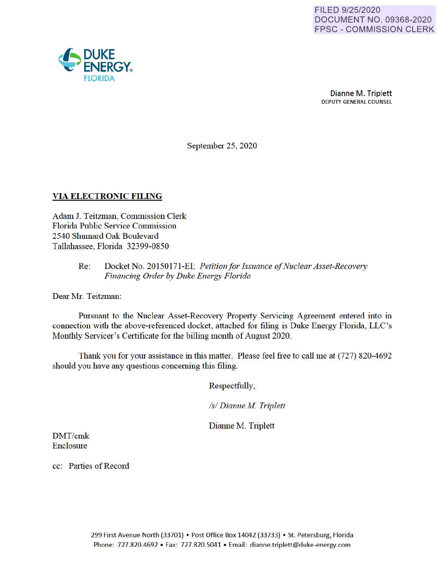

September 25, 2020

### **VIA ELECTRONIC FILING**

Adam J. Teitzman, Commission Clerk Florida Public Service Commission 2540 Shumard Oak Boulevard Tallahassee, Florida 32399-0850

> Re: Docket No. 20150171-EI· *Petition for Issuance of Nuclear Asset-Recovery Financing Order by Duke Energy Florida*

Dear Mr. Teitzman:

Pursuant to the Nuclear Asset-Recovery Property Servicing Agreement entered into in connection with the above-referenced docket, attached for filing is Duke Energy Florida, LLC's Monthly Servicer's Certificate for the billing month of August 2020.

Thank you for your assistance in this matter. Please feel free to call me at (727) 820-4692 should you have any questions concerning this filing.

Respectfully,

*Isl Dianne M Triplett* 

Dianne M. Triplett

DMT/cmk Enclosure

cc: Parties of Record

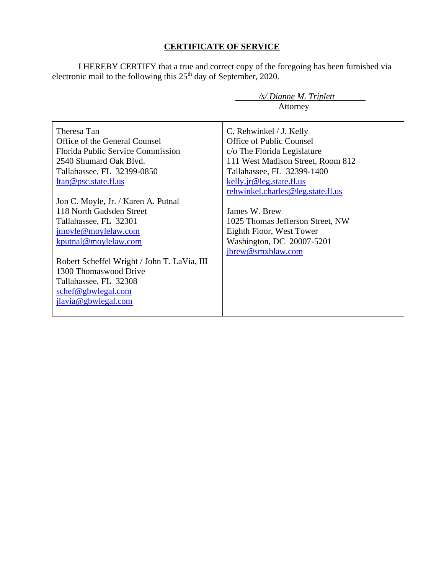## **CERTIFICATE OF SERVICE**

I HEREBY CERTIFY that a true and correct copy of the foregoing has been furnished via electronic mail to the following this  $25<sup>th</sup>$  day of September, 2020.

 */s/ Dianne M. Triplett*

|                                             | Attorney                          |
|---------------------------------------------|-----------------------------------|
| Theresa Tan                                 | C. Rehwinkel / J. Kelly           |
| Office of the General Counsel               | Office of Public Counsel          |
| Florida Public Service Commission           | c/o The Florida Legislature       |
| 2540 Shumard Oak Blvd.                      | 111 West Madison Street, Room 812 |
| Tallahassee, FL 32399-0850                  | Tallahassee, FL 32399-1400        |
| ltan@psc.state.fl.us                        | kelly.jr@leg.state.fl.us          |
|                                             | rehwinkel.charles@leg.state.fl.us |
| Jon C. Moyle, Jr. / Karen A. Putnal         |                                   |
| 118 North Gadsden Street                    | James W. Brew                     |
| Tallahassee, FL 32301                       | 1025 Thomas Jefferson Street, NW  |
| jmoyle@moylelaw.com                         | Eighth Floor, West Tower          |
| kputnal@moylelaw.com                        | Washington, DC 20007-5201         |
|                                             | jbrew@smxblaw.com                 |
| Robert Scheffel Wright / John T. LaVia, III |                                   |
| 1300 Thomaswood Drive                       |                                   |
| Tallahassee, FL 32308                       |                                   |
| schef@gbwlegal.com                          |                                   |
| jlavia@gbwlegal.com                         |                                   |
|                                             |                                   |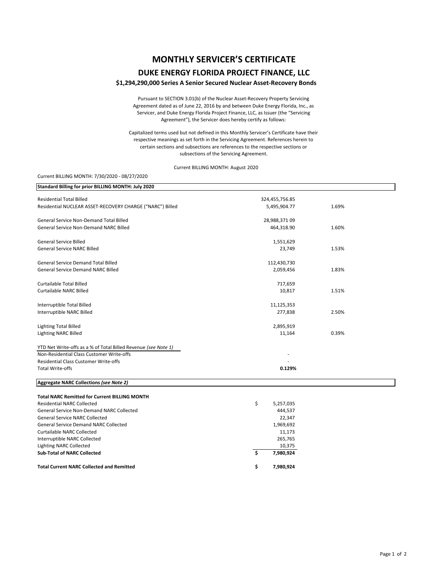# **MONTHLY SERVICER'S CERTIFICATE**

### **DUKE ENERGY FLORIDA PROJECT FINANCE, LLC**

#### **\$1,294,290,000 Series A Senior Secured Nuclear Asset‐Recovery Bonds**

Pursuant to SECTION 3.01(b) of the Nuclear Asset‐Recovery Property Servicing Agreement dated as of June 22, 2016 by and between Duke Energy Florida, Inc., as Servicer, and Duke Energy Florida Project Finance, LLC, as Issuer (the "Servicing Agreement"), the Servicer does hereby certify as follows:

Capitalized terms used but not defined in this Monthly Servicer's Certificate have their respective meanings as set forth in the Servicing Agreement. References herein to certain sections and subsections are references to the respective sections or subsections of the Servicing Agreement.

Current BILLING MONTH: August 2020

#### Current BILLING MONTH: 7/30/2020 ‐ 08/27/2020

| 324,455,756.85  |       |
|-----------------|-------|
| 5,495,904.77    | 1.69% |
| 28,988,371 09   |       |
| 464,318.90      | 1.60% |
| 1,551,629       |       |
| 23,749          | 1.53% |
| 112,430,730     |       |
| 2,059,456       | 1.83% |
| 717,659         |       |
| 10,817          | 1.51% |
| 11,125,353      |       |
| 277,838         | 2.50% |
| 2,895,919       |       |
| 11,164          | 0.39% |
|                 |       |
|                 |       |
|                 |       |
| 0.129%          |       |
|                 |       |
|                 |       |
| \$<br>5,257,035 |       |
| 444,537         |       |
| 22,347          |       |
| 1,969,692       |       |
| 11,173          |       |
| 265,765         |       |
| 10,375          |       |
| \$<br>7,980,924 |       |
| \$<br>7,980,924 |       |
|                 |       |